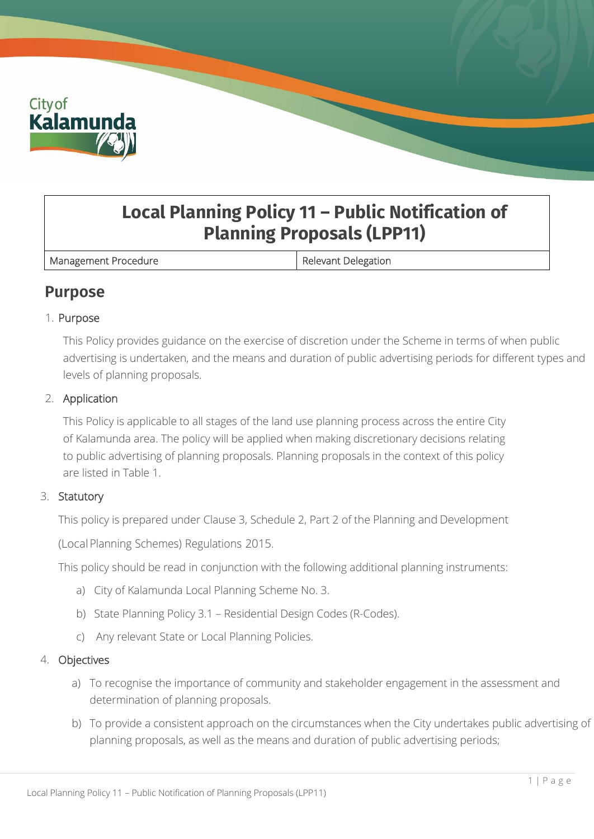

# **Local Planning Policy 11 – Public Notification of Planning Proposals (LPP11)**

Management Procedure **Relevant Delegation** 

## **Purpose**

## 1. Purpose

This Policy provides guidance on the exercise of discretion under the Scheme in terms of when public advertising is undertaken, and the means and duration of public advertising periods for different types and levels of planning proposals.

### 2. Application

This Policy is applicable to all stages of the land use planning process across the entire City of Kalamunda area. The policy will be applied when making discretionary decisions relating to public advertising of planning proposals. Planning proposals in the context of this policy are listed in Table 1.

## 3. Statutory

This policy is prepared under Clause 3, Schedule 2, Part 2 of the Planning and Development

(LocalPlanning Schemes) Regulations 2015.

This policy should be read in conjunction with the following additional planning instruments:

- a) City of Kalamunda Local Planning Scheme No. 3.
- b) State Planning Policy 3.1 Residential Design Codes (R-Codes).
- c) Any relevant State or Local Planning Policies.

#### 4. Objectives

- a) To recognise the importance of community and stakeholder engagement in the assessment and determination of planning proposals.
- b) To provide a consistent approach on the circumstances when the City undertakes public advertising of planning proposals, as well as the means and duration of public advertising periods;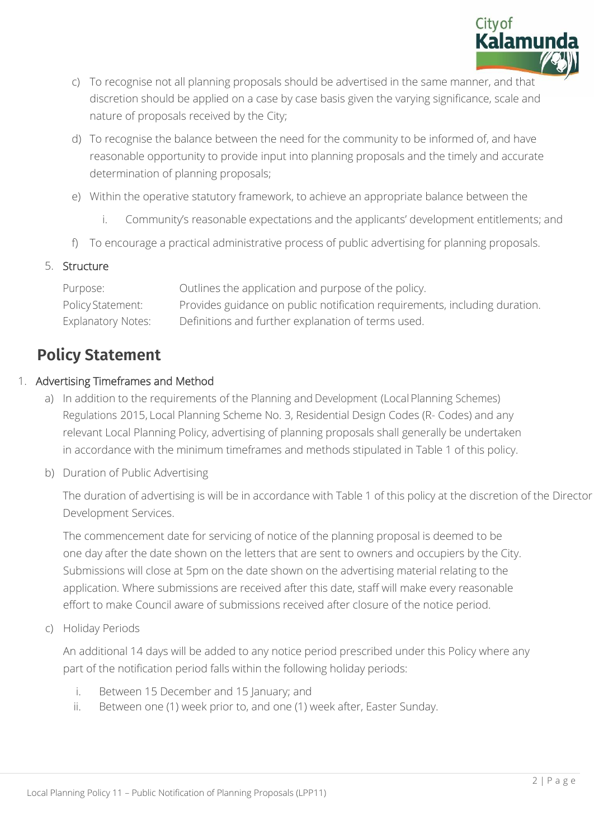

- c) To recognise not all planning proposals should be advertised in the same manner, and that discretion should be applied on a case by case basis given the varying significance, scale and nature of proposals received by the City;
- d) To recognise the balance between the need for the community to be informed of, and have reasonable opportunity to provide input into planning proposals and the timely and accurate determination of planning proposals;
- e) Within the operative statutory framework, to achieve an appropriate balance between the
	- i. Community's reasonable expectations and the applicants' development entitlements; and
- f) To encourage a practical administrative process of public advertising for planning proposals.

## 5. Structure

| Purpose:                  | Outlines the application and purpose of the policy.                        |
|---------------------------|----------------------------------------------------------------------------|
| <b>Policy Statement:</b>  | Provides guidance on public notification requirements, including duration. |
| <b>Explanatory Notes:</b> | Definitions and further explanation of terms used.                         |

## **Policy Statement**

## 1. Advertising Timeframes and Method

- a) In addition to the requirements of the Planning and Development (Local Planning Schemes) Regulations 2015, Local Planning Scheme No. 3, Residential Design Codes (R- Codes) and any relevant Local Planning Policy, advertising of planning proposals shall generally be undertaken in accordance with the minimum timeframes and methods stipulated in Table 1 of this policy.
- b) Duration of Public Advertising

The duration of advertising is will be in accordance with Table 1 of this policy at the discretion of the Director Development Services.

The commencement date for servicing of notice of the planning proposal is deemed to be one day after the date shown on the letters that are sent to owners and occupiers by the City. Submissions will close at 5pm on the date shown on the advertising material relating to the application. Where submissions are received after this date, staff will make every reasonable effort to make Council aware of submissions received after closure of the notice period.

c) Holiday Periods

An additional 14 days will be added to any notice period prescribed under this Policy where any part of the notification period falls within the following holiday periods:

- i. Between 15 December and 15 January; and
- ii. Between one (1) week prior to, and one (1) week after, Easter Sunday.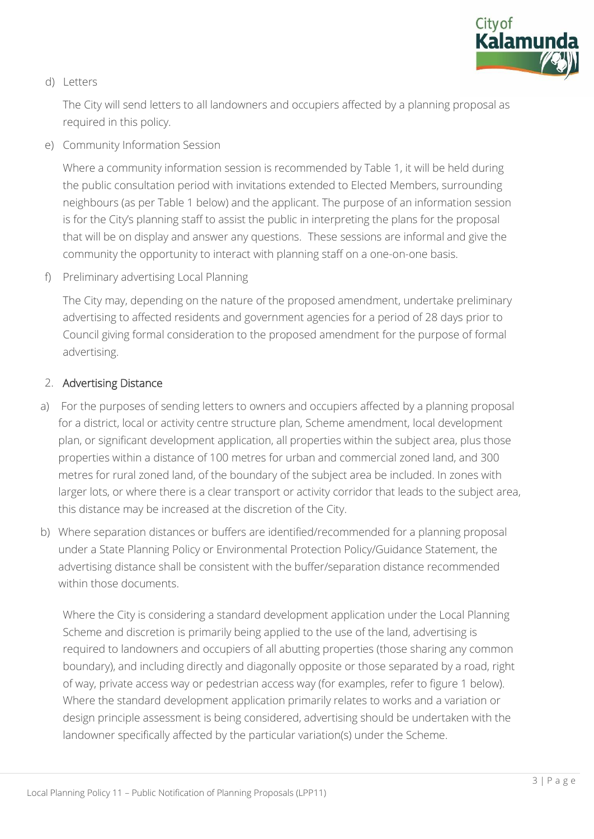

### d) Letters

The City will send letters to all landowners and occupiers affected by a planning proposal as required in this policy.

e) Community Information Session

Where a community information session is recommended by Table 1, it will be held during the public consultation period with invitations extended to Elected Members, surrounding neighbours (as per Table 1 below) and the applicant. The purpose of an information session is for the City's planning staff to assist the public in interpreting the plans for the proposal that will be on display and answer any questions. These sessions are informal and give the community the opportunity to interact with planning staff on a one-on-one basis.

f) Preliminary advertising Local Planning

The City may, depending on the nature of the proposed amendment, undertake preliminary advertising to affected residents and government agencies for a period of 28 days prior to Council giving formal consideration to the proposed amendment for the purpose of formal advertising.

### 2. Advertising Distance

- a) For the purposes of sending letters to owners and occupiers affected by a planning proposal for a district, local or activity centre structure plan, Scheme amendment, local development plan, or significant development application, all properties within the subject area, plus those properties within a distance of 100 metres for urban and commercial zoned land, and 300 metres for rural zoned land, of the boundary of the subject area be included. In zones with larger lots, or where there is a clear transport or activity corridor that leads to the subject area, this distance may be increased at the discretion of the City.
- b) Where separation distances or buffers are identified/recommended for a planning proposal under a State Planning Policy or Environmental Protection Policy/Guidance Statement, the advertising distance shall be consistent with the buffer/separation distance recommended within those documents.

Where the City is considering a standard development application under the Local Planning Scheme and discretion is primarily being applied to the use of the land, advertising is required to landowners and occupiers of all abutting properties (those sharing any common boundary), and including directly and diagonally opposite or those separated by a road, right of way, private access way or pedestrian access way (for examples, refer to figure 1 below). Where the standard development application primarily relates to works and a variation or design principle assessment is being considered, advertising should be undertaken with the landowner specifically affected by the particular variation(s) under the Scheme.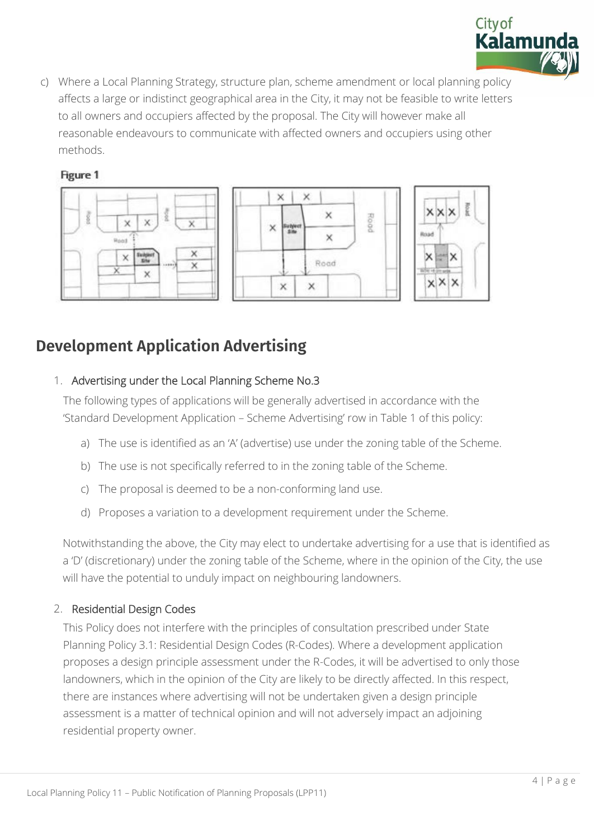

c) Where a Local Planning Strategy, structure plan, scheme amendment or local planning policy affects a large or indistinct geographical area in the City, it may not be feasible to write letters to all owners and occupiers affected by the proposal. The City will however make all reasonable endeavours to communicate with affected owners and occupiers using other methods.

## Figure 1



## **Development Application Advertising**

## 1. Advertising under the Local Planning Scheme No.3

The following types of applications will be generally advertised in accordance with the 'Standard Development Application – Scheme Advertising' row in Table 1 of this policy:

- a) The use is identified as an 'A' (advertise) use under the zoning table of the Scheme.
- b) The use is not specifically referred to in the zoning table of the Scheme.
- c) The proposal is deemed to be a non-conforming land use.
- d) Proposes a variation to a development requirement under the Scheme.

Notwithstanding the above, the City may elect to undertake advertising for a use that is identified as a 'D' (discretionary) under the zoning table of the Scheme, where in the opinion of the City, the use will have the potential to unduly impact on neighbouring landowners.

## 2. Residential Design Codes

This Policy does not interfere with the principles of consultation prescribed under State Planning Policy 3.1: Residential Design Codes (R-Codes). Where a development application proposes a design principle assessment under the R-Codes, it will be advertised to only those landowners, which in the opinion of the City are likely to be directly affected. In this respect, there are instances where advertising will not be undertaken given a design principle assessment is a matter of technical opinion and will not adversely impact an adjoining residential property owner.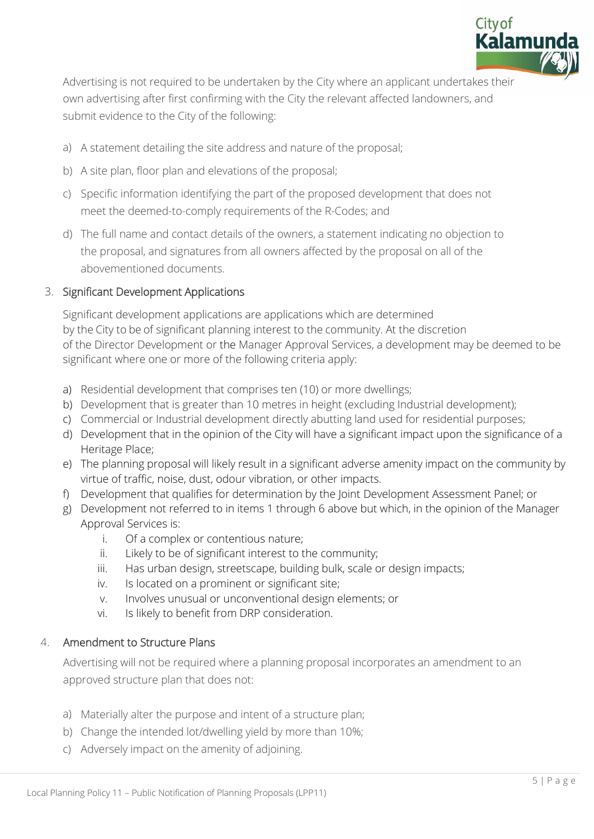

Advertising is not required to be undertaken by the City where an applicant undertakes their own advertising after first confirming with the City the relevant affected landowners, and submit evidence to the City of the following:

- a) A statement detailing the site address and nature of the proposal;
- b) A site plan, floor plan and elevations of the proposal;
- c) Specific information identifying the part of the proposed development that does not meet the deemed-to-comply requirements of the R-Codes; and
- d) The full name and contact details of the owners, a statement indicating no objection to the proposal, and signatures from all owners affected by the proposal on all of the abovementioned documents.

## 3. Significant Development Applications

Significant development applications are applications which are determined by the City to be of significant planning interest to the community. At the discretion of the Director Development or the Manager Approval Services, a development may be deemed to be significant where one or more of the following criteria apply:

- a) Residential development that comprises ten (10) or more dwellings;
- b) Development that is greater than 10 metres in height (excluding Industrial development);
- c) Commercial or Industrial development directly abutting land used for residential purposes;
- d) Development that in the opinion of the City will have a significant impact upon the significance of a Heritage Place;
- e) The planning proposal will likely result in a significant adverse amenity impact on the community by virtue of traffic, noise, dust, odour vibration, or other impacts.
- f) Development that qualifies for determination by the Joint Development Assessment Panel; or
- g) Development not referred to in items 1 through 6 above but which, in the opinion of the Manager Approval Services is:
	- i. Of a complex or contentious nature;
	- ii. Likely to be of significant interest to the community;
	- iii. Has urban design, streetscape, building bulk, scale or design impacts;
	- iv. Is located on a prominent or significant site;
	- v. Involves unusual or unconventional design elements; or
	- vi. Is likely to benefit from DRP consideration.

## 4. Amendment to Structure Plans

 Advertising will not be required where a planning proposal incorporates an amendment to an approved structure plan that does not:

- a) Materially alter the purpose and intent of a structure plan;
- b) Change the intended lot/dwelling yield by more than 10%;
- c) Adversely impact on the amenity of adjoining.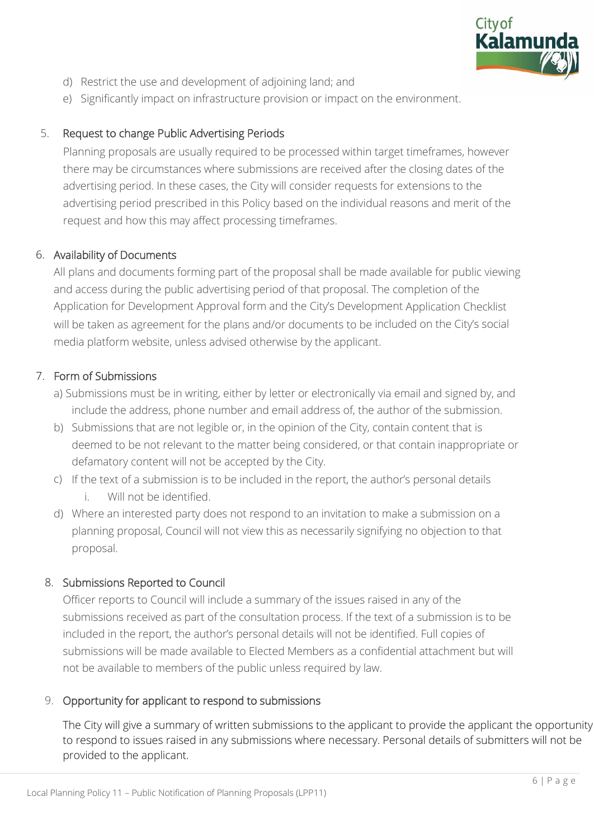

- d) Restrict the use and development of adjoining land; and
- e) Significantly impact on infrastructure provision or impact on the environment.

## 5. Request to change Public Advertising Periods

Planning proposals are usually required to be processed within target timeframes, however there may be circumstances where submissions are received after the closing dates of the advertising period. In these cases, the City will consider requests for extensions to the advertising period prescribed in this Policy based on the individual reasons and merit of the request and how this may affect processing timeframes.

## 6. Availability of Documents

All plans and documents forming part of the proposal shall be made available for public viewing and access during the public advertising period of that proposal. The completion of the Application for Development Approval form and the City's Development Application Checklist will be taken as agreement for the plans and/or documents to be included on the City's social media platform website, unless advised otherwise by the applicant.

## 7. Form of Submissions

- a) Submissions must be in writing, either by letter or electronically via email and signed by, and include the address, phone number and email address of, the author of the submission.
- b) Submissions that are not legible or, in the opinion of the City, contain content that is deemed to be not relevant to the matter being considered, or that contain inappropriate or defamatory content will not be accepted by the City.
- c) If the text of a submission is to be included in the report, the author's personal details i. Will not be identified.
- d) Where an interested party does not respond to an invitation to make a submission on a planning proposal, Council will not view this as necessarily signifying no objection to that proposal.

## 8. Submissions Reported to Council

Officer reports to Council will include a summary of the issues raised in any of the submissions received as part of the consultation process. If the text of a submission is to be included in the report, the author's personal details will not be identified. Full copies of submissions will be made available to Elected Members as a confidential attachment but will not be available to members of the public unless required by law.

## 9. Opportunity for applicant to respond to submissions

The City will give a summary of written submissions to the applicant to provide the applicant the opportunity to respond to issues raised in any submissions where necessary. Personal details of submitters will not be provided to the applicant.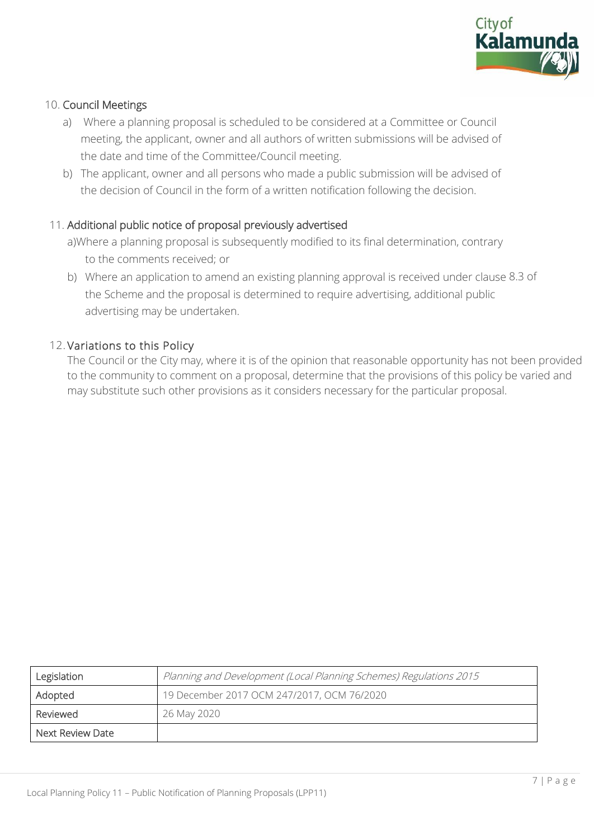

#### 10. Council Meetings

- a) Where a planning proposal is scheduled to be considered at a Committee or Council meeting, the applicant, owner and all authors of written submissions will be advised of the date and time of the Committee/Council meeting.
- b) The applicant, owner and all persons who made a public submission will be advised of the decision of Council in the form of a written notification following the decision.

### 11. Additional public notice of proposal previously advertised

- a)Where a planning proposal is subsequently modified to its final determination, contrary to the comments received; or
- b) Where an application to amend an existing planning approval is received under clause 8.3 of the Scheme and the proposal is determined to require advertising, additional public advertising may be undertaken.

### 12. Variations to this Policy

The Council or the City may, where it is of the opinion that reasonable opportunity has not been provided to the community to comment on a proposal, determine that the provisions of this policy be varied and may substitute such other provisions as it considers necessary for the particular proposal.

| Legislation      | Planning and Development (Local Planning Schemes) Regulations 2015 |  |  |  |  |  |
|------------------|--------------------------------------------------------------------|--|--|--|--|--|
| Adopted          | 19 December 2017 OCM 247/2017, OCM 76/2020                         |  |  |  |  |  |
| Reviewed         | 26 May 2020                                                        |  |  |  |  |  |
| Next Review Date |                                                                    |  |  |  |  |  |